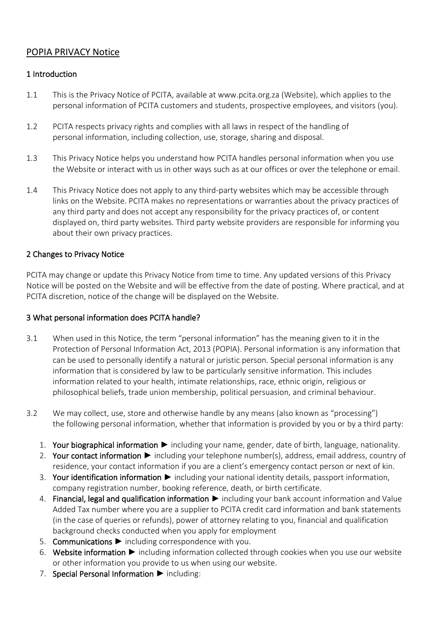# POPIA PRIVACY Notice

## 1 Introduction

- 1.1 This is the Privacy Notice of PCITA, available at www.pcita.org.za (Website), which applies to the personal information of PCITA customers and students, prospective employees, and visitors (you).
- 1.2 PCITA respects privacy rights and complies with all laws in respect of the handling of personal information, including collection, use, storage, sharing and disposal.
- 1.3 This Privacy Notice helps you understand how PCITA handles personal information when you use the Website or interact with us in other ways such as at our offices or over the telephone or email.
- 1.4 This Privacy Notice does not apply to any third-party websites which may be accessible through links on the Website. PCITA makes no representations or warranties about the privacy practices of any third party and does not accept any responsibility for the privacy practices of, or content displayed on, third party websites. Third party website providers are responsible for informing you about their own privacy practices.

## 2 Changes to Privacy Notice

PCITA may change or update this Privacy Notice from time to time. Any updated versions of this Privacy Notice will be posted on the Website and will be effective from the date of posting. Where practical, and at PCITA discretion, notice of the change will be displayed on the Website.

#### 3 What personal information does PCITA handle?

- 3.1 When used in this Notice, the term "personal information" has the meaning given to it in the Protection of Personal Information Act, 2013 (POPIA). Personal information is any information that can be used to personally identify a natural or juristic person. Special personal information is any information that is considered by law to be particularly sensitive information. This includes information related to your health, intimate relationships, race, ethnic origin, religious or philosophical beliefs, trade union membership, political persuasion, and criminal behaviour.
- 3.2 We may collect, use, store and otherwise handle by any means (also known as "processing") the following personal information, whether that information is provided by you or by a third party:
	- 1. Your biographical information ► including your name, gender, date of birth, language, nationality.
	- 2. Your contact information ► including your telephone number(s), address, email address, country of residence, your contact information if you are a client's emergency contact person or next of kin.
	- 3. Your identification information ► including your national identity details, passport information, company registration number, booking reference, death, or birth certificate.
	- 4. Financial, legal and qualification information ► including your bank account information and Value Added Tax number where you are a supplier to PCITA credit card information and bank statements (in the case of queries or refunds), power of attorney relating to you, financial and qualification background checks conducted when you apply for employment
	- 5. Communications ► including correspondence with you.
	- 6. Website information ► including information collected through cookies when you use our website or other information you provide to us when using our website.
	- 7. Special Personal Information ► including: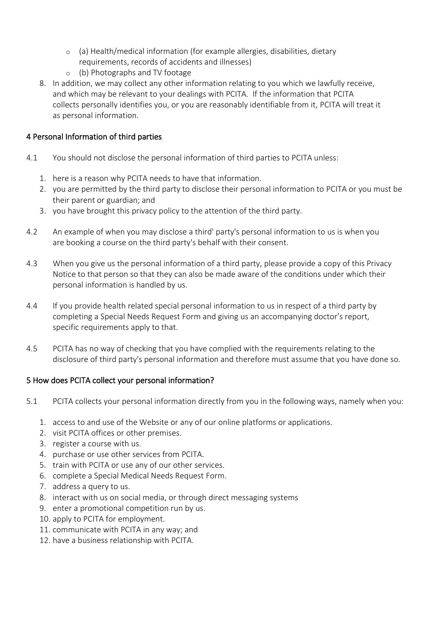- $\circ$  (a) Health/medical information (for example allergies, disabilities, dietary
	- requirements, records of accidents and illnesses)
- o (b) Photographs and TV footage
- 8. In addition, we may collect any other information relating to you which we lawfully receive, and which may be relevant to your dealings with PCITA. If the information that PCITA collects personally identifies you, or you are reasonably identifiable from it, PCITA will treat it as personal information.

## 4 Personal Information of third parties

- 4.1 You should not disclose the personal information of third parties to PCITA unless:
	- 1. here is a reason why PCITA needs to have that information.
	- 2. you are permitted by the third party to disclose their personal information to PCITA or you must be their parent or guardian; and
	- 3. you have brought this privacy policy to the attention of the third party.
- 4.2 An example of when you may disclose a third' party's personal information to us is when you are booking a course on the third party's behalf with their consent.
- 4.3 When you give us the personal information of a third party, please provide a copy of this Privacy Notice to that person so that they can also be made aware of the conditions under which their personal information is handled by us.
- 4.4 If you provide health related special personal information to us in respect of a third party by completing a Special Needs Request Form and giving us an accompanying doctor's report, specific requirements apply to that.
- 4.5 PCITA has no way of checking that you have complied with the requirements relating to the disclosure of third party's personal information and therefore must assume that you have done so.

## 5 How does PCITA collect your personal information?

- 5.1 PCITA collects your personal information directly from you in the following ways, namely when you:
	- 1. access to and use of the Website or any of our online platforms or applications.
	- 2. visit PCITA offices or other premises.
	- 3. register a course with us.
	- 4. purchase or use other services from PCITA.
	- 5. train with PCITA or use any of our other services.
	- 6. complete a Special Medical Needs Request Form.
	- 7. address a query to us.
	- 8. interact with us on social media, or through direct messaging systems
	- 9. enter a promotional competition run by us.
	- 10. apply to PCITA for employment.
	- 11. communicate with PCITA in any way; and
	- 12. have a business relationship with PCITA.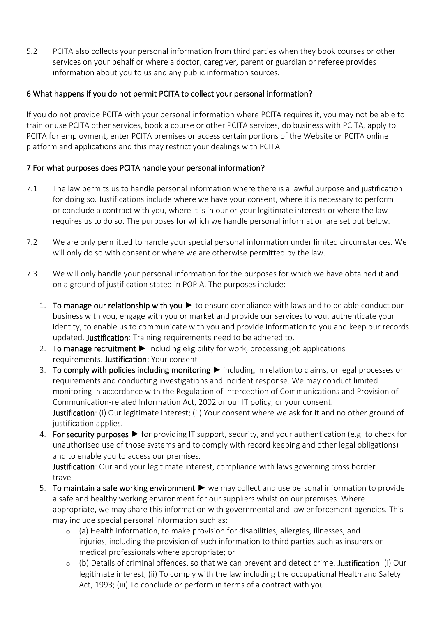5.2 PCITA also collects your personal information from third parties when they book courses or other services on your behalf or where a doctor, caregiver, parent or guardian or referee provides information about you to us and any public information sources.

## 6 What happens if you do not permit PCITA to collect your personal information?

If you do not provide PCITA with your personal information where PCITA requires it, you may not be able to train or use PCITA other services, book a course or other PCITA services, do business with PCITA, apply to PCITA for employment, enter PCITA premises or access certain portions of the Website or PCITA online platform and applications and this may restrict your dealings with PCITA.

## 7 For what purposes does PCITA handle your personal information?

- 7.1 The law permits us to handle personal information where there is a lawful purpose and justification for doing so. Justifications include where we have your consent, where it is necessary to perform or conclude a contract with you, where it is in our or your legitimate interests or where the law requires us to do so. The purposes for which we handle personal information are set out below.
- 7.2 We are only permitted to handle your special personal information under limited circumstances. We will only do so with consent or where we are otherwise permitted by the law.
- 7.3 We will only handle your personal information for the purposes for which we have obtained it and on a ground of justification stated in POPIA. The purposes include:
	- 1. To manage our relationship with you ► to ensure compliance with laws and to be able conduct our business with you, engage with you or market and provide our services to you, authenticate your identity, to enable us to communicate with you and provide information to you and keep our records updated. Justification: Training requirements need to be adhered to.
	- 2. To manage recruitment ► including eligibility for work, processing job applications requirements. Justification: Your consent
	- 3. To comply with policies including monitoring ► including in relation to claims, or legal processes or requirements and conducting investigations and incident response. We may conduct limited monitoring in accordance with the Regulation of Interception of Communications and Provision of Communication-related Information Act, 2002 or our IT policy, or your consent. Justification: (i) Our legitimate interest; (ii) Your consent where we ask for it and no other ground of justification applies.
	- 4. For security purposes ► for providing IT support, security, and your authentication (e.g. to check for unauthorised use of those systems and to comply with record keeping and other legal obligations) and to enable you to access our premises.

Justification: Our and your legitimate interest, compliance with laws governing cross border travel.

- 5. To maintain a safe working environment ► we may collect and use personal information to provide a safe and healthy working environment for our suppliers whilst on our premises. Where appropriate, we may share this information with governmental and law enforcement agencies. This may include special personal information such as:
	- o (a) Health information, to make provision for disabilities, allergies, illnesses, and injuries, including the provision of such information to third parties such as insurers or medical professionals where appropriate; or
	- $\circ$  (b) Details of criminal offences, so that we can prevent and detect crime. Justification: (i) Our legitimate interest; (ii) To comply with the law including the occupational Health and Safety Act, 1993; (iii) To conclude or perform in terms of a contract with you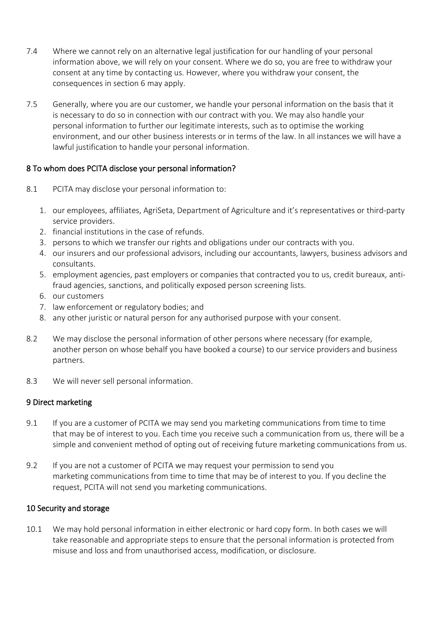- 7.4 Where we cannot rely on an alternative legal justification for our handling of your personal information above, we will rely on your consent. Where we do so, you are free to withdraw your consent at any time by contacting us. However, where you withdraw your consent, the consequences in section 6 may apply.
- 7.5 Generally, where you are our customer, we handle your personal information on the basis that it is necessary to do so in connection with our contract with you. We may also handle your personal information to further our legitimate interests, such as to optimise the working environment, and our other business interests or in terms of the law. In all instances we will have a lawful justification to handle your personal information.

## 8 To whom does PCITA disclose your personal information?

- 8.1 PCITA may disclose your personal information to:
	- 1. our employees, affiliates, AgriSeta, Department of Agriculture and it's representatives or third-party service providers.
	- 2. financial institutions in the case of refunds.
	- 3. persons to which we transfer our rights and obligations under our contracts with you.
	- 4. our insurers and our professional advisors, including our accountants, lawyers, business advisors and consultants.
	- 5. employment agencies, past employers or companies that contracted you to us, credit bureaux, antifraud agencies, sanctions, and politically exposed person screening lists.
	- 6. our customers
	- 7. law enforcement or regulatory bodies; and
	- 8. any other juristic or natural person for any authorised purpose with your consent.
- 8.2 We may disclose the personal information of other persons where necessary (for example, another person on whose behalf you have booked a course) to our service providers and business partners.
- 8.3 We will never sell personal information.

## 9 Direct marketing

- 9.1 If you are a customer of PCITA we may send you marketing communications from time to time that may be of interest to you. Each time you receive such a communication from us, there will be a simple and convenient method of opting out of receiving future marketing communications from us.
- 9.2 If you are not a customer of PCITA we may request your permission to send you marketing communications from time to time that may be of interest to you. If you decline the request, PCITA will not send you marketing communications.

#### 10 Security and storage

10.1 We may hold personal information in either electronic or hard copy form. In both cases we will take reasonable and appropriate steps to ensure that the personal information is protected from misuse and loss and from unauthorised access, modification, or disclosure.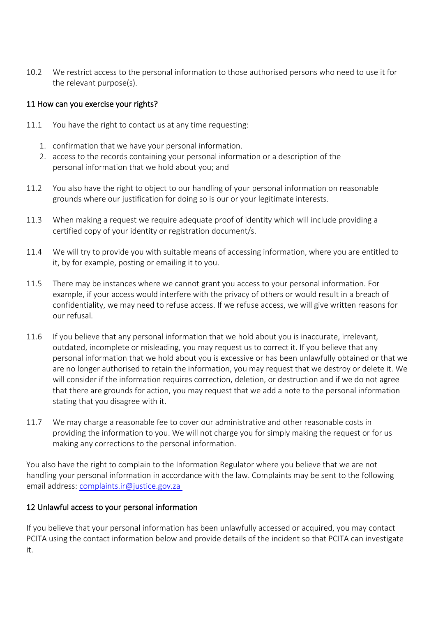10.2 We restrict access to the personal information to those authorised persons who need to use it for the relevant purpose(s).

#### 11 How can you exercise your rights?

- 11.1 You have the right to contact us at any time requesting:
	- 1. confirmation that we have your personal information.
	- 2. access to the records containing your personal information or a description of the personal information that we hold about you; and
- 11.2 You also have the right to object to our handling of your personal information on reasonable grounds where our justification for doing so is our or your legitimate interests.
- 11.3 When making a request we require adequate proof of identity which will include providing a certified copy of your identity or registration document/s.
- 11.4 We will try to provide you with suitable means of accessing information, where you are entitled to it, by for example, posting or emailing it to you.
- 11.5 There may be instances where we cannot grant you access to your personal information. For example, if your access would interfere with the privacy of others or would result in a breach of confidentiality, we may need to refuse access. If we refuse access, we will give written reasons for our refusal.
- 11.6 If you believe that any personal information that we hold about you is inaccurate, irrelevant, outdated, incomplete or misleading, you may request us to correct it. If you believe that any personal information that we hold about you is excessive or has been unlawfully obtained or that we are no longer authorised to retain the information, you may request that we destroy or delete it. We will consider if the information requires correction, deletion, or destruction and if we do not agree that there are grounds for action, you may request that we add a note to the personal information stating that you disagree with it.
- 11.7 We may charge a reasonable fee to cover our administrative and other reasonable costs in providing the information to you. We will not charge you for simply making the request or for us making any corrections to the personal information.

You also have the right to complain to the Information Regulator where you believe that we are not handling your personal information in accordance with the law. Complaints may be sent to the following email address: [complaints.ir@justice.gov.za](mailto:complaints.ir@justice.gov.za )

#### 12 Unlawful access to your personal information

If you believe that your personal information has been unlawfully accessed or acquired, you may contact PCITA using the contact information below and provide details of the incident so that PCITA can investigate it.